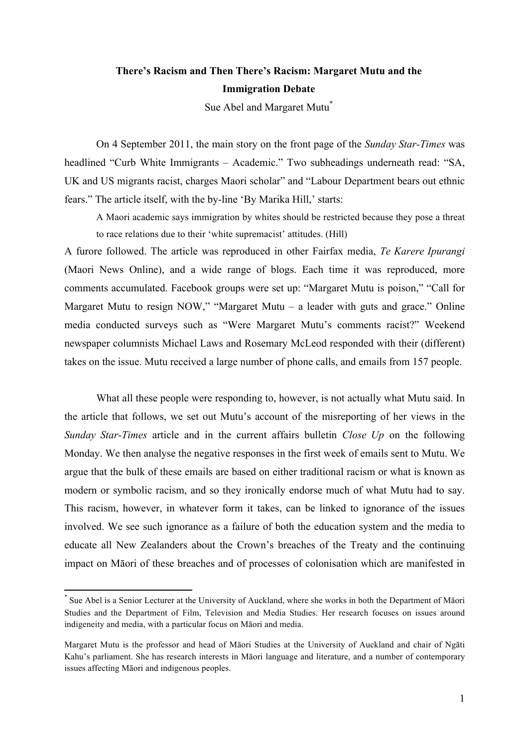# **There's Racism and Then There's Racism: Margaret Mutu and the Immigration Debate**

Sue Abel and Margaret Mutu<sup>\*</sup>

On 4 September 2011, the main story on the front page of the *Sunday Star-Times* was headlined "Curb White Immigrants – Academic." Two subheadings underneath read: "SA, UK and US migrants racist, charges Maori scholar" and "Labour Department bears out ethnic fears." The article itself, with the by-line 'By Marika Hill,' starts:

A Maori academic says immigration by whites should be restricted because they pose a threat to race relations due to their 'white supremacist' attitudes. (Hill)

A furore followed. The article was reproduced in other Fairfax media, *Te Karere Ipurangi* (Maori News Online), and a wide range of blogs. Each time it was reproduced, more comments accumulated. Facebook groups were set up: "Margaret Mutu is poison," "Call for Margaret Mutu to resign NOW," "Margaret Mutu – a leader with guts and grace." Online media conducted surveys such as "Were Margaret Mutu's comments racist?" Weekend newspaper columnists Michael Laws and Rosemary McLeod responded with their (different) takes on the issue. Mutu received a large number of phone calls, and emails from 157 people.

What all these people were responding to, however, is not actually what Mutu said. In the article that follows, we set out Mutu's account of the misreporting of her views in the *Sunday Star-Times* article and in the current affairs bulletin *Close Up* on the following Monday. We then analyse the negative responses in the first week of emails sent to Mutu. We argue that the bulk of these emails are based on either traditional racism or what is known as modern or symbolic racism, and so they ironically endorse much of what Mutu had to say. This racism, however, in whatever form it takes, can be linked to ignorance of the issues involved. We see such ignorance as a failure of both the education system and the media to educate all New Zealanders about the Crown's breaches of the Treaty and the continuing impact on Māori of these breaches and of processes of colonisation which are manifested in

<u> 1989 - Jan Samuel Barbara, político establecido de la provincia de la provincia de la provincia de la provinci</u>

Sue Abel is a Senior Lecturer at the University of Auckland, where she works in both the Department of Māori Studies and the Department of Film, Television and Media Studies. Her research focuses on issues around indigeneity and media, with a particular focus on Māori and media.

Margaret Mutu is the professor and head of Māori Studies at the University of Auckland and chair of Ngāti Kahu's parliament. She has research interests in Māori language and literature, and a number of contemporary issues affecting Māori and indigenous peoples.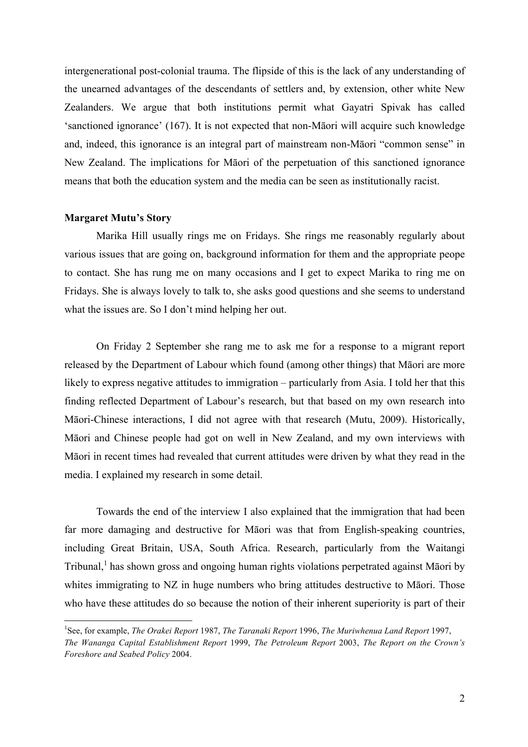intergenerational post-colonial trauma. The flipside of this is the lack of any understanding of the unearned advantages of the descendants of settlers and, by extension, other white New Zealanders. We argue that both institutions permit what Gayatri Spivak has called 'sanctioned ignorance' (167). It is not expected that non-Māori will acquire such knowledge and, indeed, this ignorance is an integral part of mainstream non-Māori "common sense" in New Zealand. The implications for Māori of the perpetuation of this sanctioned ignorance means that both the education system and the media can be seen as institutionally racist.

## **Margaret Mutu's Story**

 

Marika Hill usually rings me on Fridays. She rings me reasonably regularly about various issues that are going on, background information for them and the appropriate peope to contact. She has rung me on many occasions and I get to expect Marika to ring me on Fridays. She is always lovely to talk to, she asks good questions and she seems to understand what the issues are. So I don't mind helping her out.

On Friday 2 September she rang me to ask me for a response to a migrant report released by the Department of Labour which found (among other things) that Māori are more likely to express negative attitudes to immigration – particularly from Asia. I told her that this finding reflected Department of Labour's research, but that based on my own research into Māori-Chinese interactions, I did not agree with that research (Mutu, 2009). Historically, Māori and Chinese people had got on well in New Zealand, and my own interviews with Māori in recent times had revealed that current attitudes were driven by what they read in the media. I explained my research in some detail.

Towards the end of the interview I also explained that the immigration that had been far more damaging and destructive for Māori was that from English-speaking countries, including Great Britain, USA, South Africa. Research, particularly from the Waitangi Tribunal,<sup>1</sup> has shown gross and ongoing human rights violations perpetrated against Māori by whites immigrating to NZ in huge numbers who bring attitudes destructive to Māori. Those who have these attitudes do so because the notion of their inherent superiority is part of their

<sup>1</sup> See, for example, *The Orakei Report* 1987, *The Taranaki Report* 1996, *The Muriwhenua Land Report* 1997, *The Wananga Capital Establishment Report* 1999, *The Petroleum Report* 2003, *The Report on the Crown's Foreshore and Seabed Policy* 2004.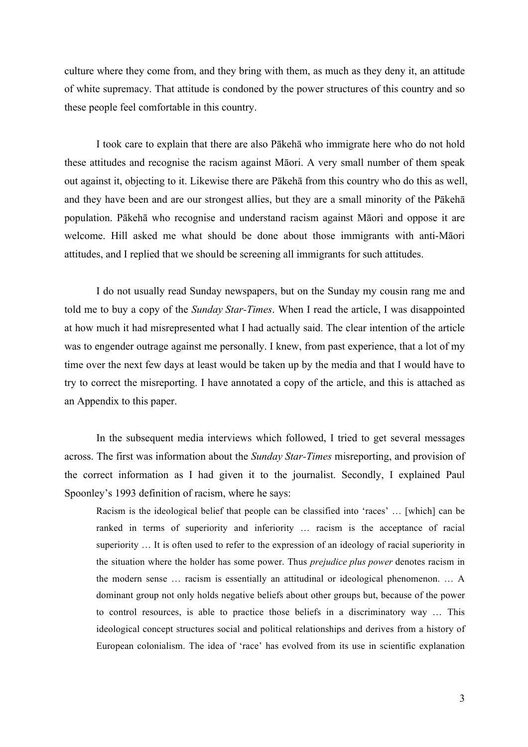culture where they come from, and they bring with them, as much as they deny it, an attitude of white supremacy. That attitude is condoned by the power structures of this country and so these people feel comfortable in this country.

I took care to explain that there are also Pākehā who immigrate here who do not hold these attitudes and recognise the racism against Māori. A very small number of them speak out against it, objecting to it. Likewise there are Pākehā from this country who do this as well, and they have been and are our strongest allies, but they are a small minority of the Pākehā population. Pākehā who recognise and understand racism against Māori and oppose it are welcome. Hill asked me what should be done about those immigrants with anti-Māori attitudes, and I replied that we should be screening all immigrants for such attitudes.

I do not usually read Sunday newspapers, but on the Sunday my cousin rang me and told me to buy a copy of the *Sunday Star-Times*. When I read the article, I was disappointed at how much it had misrepresented what I had actually said. The clear intention of the article was to engender outrage against me personally. I knew, from past experience, that a lot of my time over the next few days at least would be taken up by the media and that I would have to try to correct the misreporting. I have annotated a copy of the article, and this is attached as an Appendix to this paper.

In the subsequent media interviews which followed, I tried to get several messages across. The first was information about the *Sunday Star-Times* misreporting, and provision of the correct information as I had given it to the journalist. Secondly, I explained Paul Spoonley's 1993 definition of racism, where he says:

Racism is the ideological belief that people can be classified into 'races' … [which] can be ranked in terms of superiority and inferiority … racism is the acceptance of racial superiority … It is often used to refer to the expression of an ideology of racial superiority in the situation where the holder has some power. Thus *prejudice plus power* denotes racism in the modern sense … racism is essentially an attitudinal or ideological phenomenon. … A dominant group not only holds negative beliefs about other groups but, because of the power to control resources, is able to practice those beliefs in a discriminatory way … This ideological concept structures social and political relationships and derives from a history of European colonialism. The idea of 'race' has evolved from its use in scientific explanation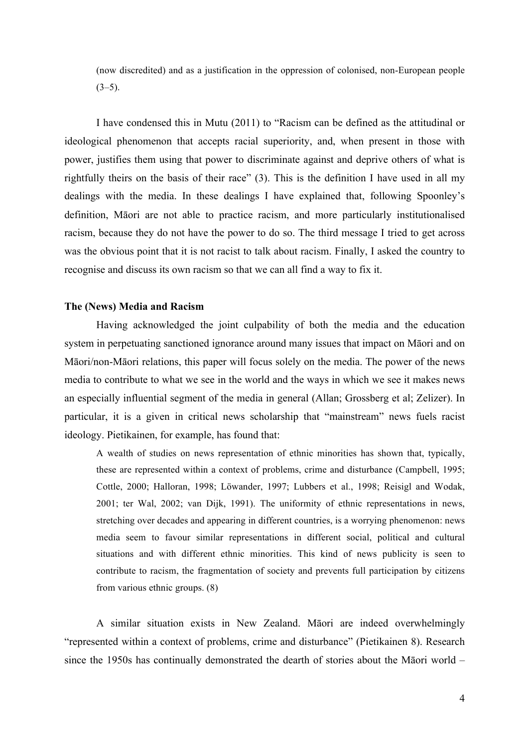(now discredited) and as a justification in the oppression of colonised, non-European people  $(3-5)$ .

I have condensed this in Mutu (2011) to "Racism can be defined as the attitudinal or ideological phenomenon that accepts racial superiority, and, when present in those with power, justifies them using that power to discriminate against and deprive others of what is rightfully theirs on the basis of their race" (3). This is the definition I have used in all my dealings with the media. In these dealings I have explained that, following Spoonley's definition, Māori are not able to practice racism, and more particularly institutionalised racism, because they do not have the power to do so. The third message I tried to get across was the obvious point that it is not racist to talk about racism. Finally, I asked the country to recognise and discuss its own racism so that we can all find a way to fix it.

## **The (News) Media and Racism**

Having acknowledged the joint culpability of both the media and the education system in perpetuating sanctioned ignorance around many issues that impact on Māori and on Māori/non-Māori relations, this paper will focus solely on the media. The power of the news media to contribute to what we see in the world and the ways in which we see it makes news an especially influential segment of the media in general (Allan; Grossberg et al; Zelizer). In particular, it is a given in critical news scholarship that "mainstream" news fuels racist ideology. Pietikainen, for example, has found that:

A wealth of studies on news representation of ethnic minorities has shown that, typically, these are represented within a context of problems, crime and disturbance (Campbell, 1995; Cottle, 2000; Halloran, 1998; Löwander, 1997; Lubbers et al., 1998; Reisigl and Wodak, 2001; ter Wal, 2002; van Dijk, 1991). The uniformity of ethnic representations in news, stretching over decades and appearing in different countries, is a worrying phenomenon: news media seem to favour similar representations in different social, political and cultural situations and with different ethnic minorities. This kind of news publicity is seen to contribute to racism, the fragmentation of society and prevents full participation by citizens from various ethnic groups. (8)

A similar situation exists in New Zealand. Māori are indeed overwhelmingly "represented within a context of problems, crime and disturbance" (Pietikainen 8). Research since the 1950s has continually demonstrated the dearth of stories about the Māori world –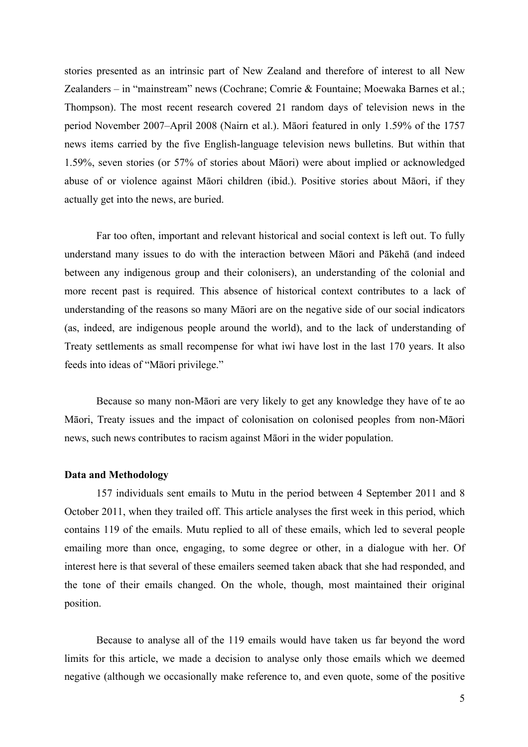stories presented as an intrinsic part of New Zealand and therefore of interest to all New Zealanders – in "mainstream" news (Cochrane; Comrie & Fountaine; Moewaka Barnes et al.; Thompson). The most recent research covered 21 random days of television news in the period November 2007–April 2008 (Nairn et al.). Māori featured in only 1.59% of the 1757 news items carried by the five English-language television news bulletins. But within that 1.59%, seven stories (or 57% of stories about Māori) were about implied or acknowledged abuse of or violence against Māori children (ibid.). Positive stories about Māori, if they actually get into the news, are buried.

Far too often, important and relevant historical and social context is left out. To fully understand many issues to do with the interaction between Māori and Pākehā (and indeed between any indigenous group and their colonisers), an understanding of the colonial and more recent past is required. This absence of historical context contributes to a lack of understanding of the reasons so many Māori are on the negative side of our social indicators (as, indeed, are indigenous people around the world), and to the lack of understanding of Treaty settlements as small recompense for what iwi have lost in the last 170 years. It also feeds into ideas of "Māori privilege."

Because so many non-Māori are very likely to get any knowledge they have of te ao Māori, Treaty issues and the impact of colonisation on colonised peoples from non-Māori news, such news contributes to racism against Māori in the wider population.

#### **Data and Methodology**

157 individuals sent emails to Mutu in the period between 4 September 2011 and 8 October 2011, when they trailed off. This article analyses the first week in this period, which contains 119 of the emails. Mutu replied to all of these emails, which led to several people emailing more than once, engaging, to some degree or other, in a dialogue with her. Of interest here is that several of these emailers seemed taken aback that she had responded, and the tone of their emails changed. On the whole, though, most maintained their original position.

Because to analyse all of the 119 emails would have taken us far beyond the word limits for this article, we made a decision to analyse only those emails which we deemed negative (although we occasionally make reference to, and even quote, some of the positive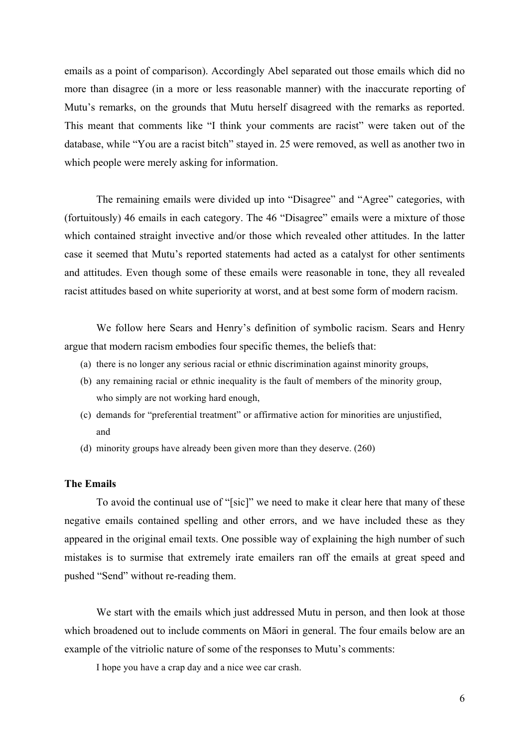emails as a point of comparison). Accordingly Abel separated out those emails which did no more than disagree (in a more or less reasonable manner) with the inaccurate reporting of Mutu's remarks, on the grounds that Mutu herself disagreed with the remarks as reported. This meant that comments like "I think your comments are racist" were taken out of the database, while "You are a racist bitch" stayed in. 25 were removed, as well as another two in which people were merely asking for information.

The remaining emails were divided up into "Disagree" and "Agree" categories, with (fortuitously) 46 emails in each category. The 46 "Disagree" emails were a mixture of those which contained straight invective and/or those which revealed other attitudes. In the latter case it seemed that Mutu's reported statements had acted as a catalyst for other sentiments and attitudes. Even though some of these emails were reasonable in tone, they all revealed racist attitudes based on white superiority at worst, and at best some form of modern racism.

We follow here Sears and Henry's definition of symbolic racism. Sears and Henry argue that modern racism embodies four specific themes, the beliefs that:

- (a) there is no longer any serious racial or ethnic discrimination against minority groups,
- (b) any remaining racial or ethnic inequality is the fault of members of the minority group, who simply are not working hard enough,
- (c) demands for "preferential treatment" or affirmative action for minorities are unjustified, and
- (d) minority groups have already been given more than they deserve. (260)

## **The Emails**

To avoid the continual use of "[sic]" we need to make it clear here that many of these negative emails contained spelling and other errors, and we have included these as they appeared in the original email texts. One possible way of explaining the high number of such mistakes is to surmise that extremely irate emailers ran off the emails at great speed and pushed "Send" without re-reading them.

We start with the emails which just addressed Mutu in person, and then look at those which broadened out to include comments on Māori in general. The four emails below are an example of the vitriolic nature of some of the responses to Mutu's comments:

I hope you have a crap day and a nice wee car crash.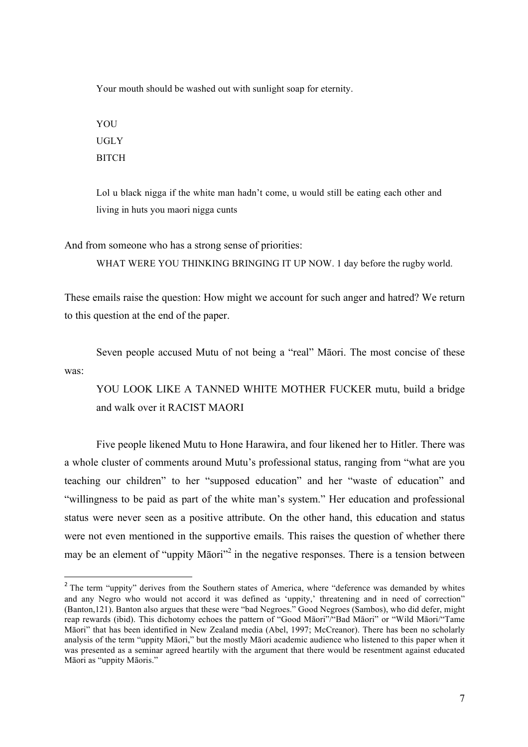Your mouth should be washed out with sunlight soap for eternity.

**YOU** UGLY **BITCH** 

<u> 1989 - Jan Samuel Barbara, político establecido de la provincia de la provincia de la provincia de la provinci</u>

Lol u black nigga if the white man hadn't come, u would still be eating each other and living in huts you maori nigga cunts

And from someone who has a strong sense of priorities:

WHAT WERE YOU THINKING BRINGING IT UP NOW. 1 day before the rugby world.

These emails raise the question: How might we account for such anger and hatred? We return to this question at the end of the paper.

Seven people accused Mutu of not being a "real" Māori. The most concise of these was:

YOU LOOK LIKE A TANNED WHITE MOTHER FUCKER mutu, build a bridge and walk over it RACIST MAORI

Five people likened Mutu to Hone Harawira, and four likened her to Hitler. There was a whole cluster of comments around Mutu's professional status, ranging from "what are you teaching our children" to her "supposed education" and her "waste of education" and "willingness to be paid as part of the white man's system." Her education and professional status were never seen as a positive attribute. On the other hand, this education and status were not even mentioned in the supportive emails. This raises the question of whether there may be an element of "uppity Māori"<sup>2</sup> in the negative responses. There is a tension between

<sup>&</sup>lt;sup>2</sup> The term "uppity" derives from the Southern states of America, where "deference was demanded by whites and any Negro who would not accord it was defined as 'uppity,' threatening and in need of correction" (Banton,121). Banton also argues that these were "bad Negroes." Good Negroes (Sambos), who did defer, might reap rewards (ibid). This dichotomy echoes the pattern of "Good Māori"/"Bad Māori" or "Wild Māori/"Tame Māori" that has been identified in New Zealand media (Abel, 1997; McCreanor). There has been no scholarly analysis of the term "uppity Māori," but the mostly Māori academic audience who listened to this paper when it was presented as a seminar agreed heartily with the argument that there would be resentment against educated Māori as "uppity Māoris."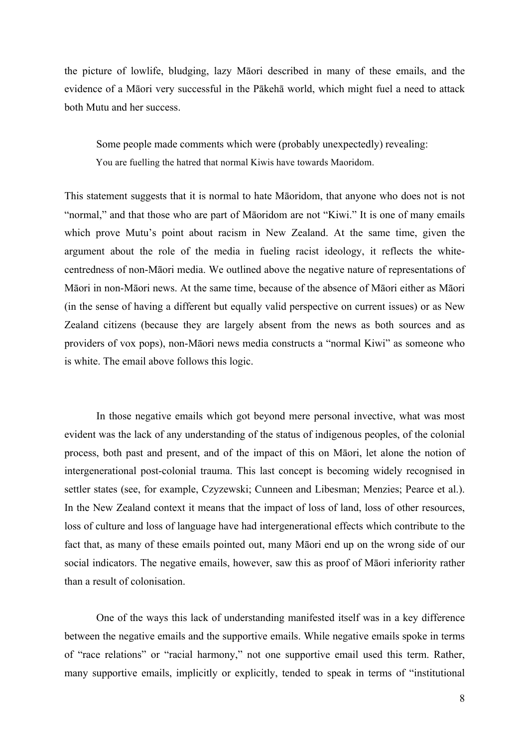the picture of lowlife, bludging, lazy Māori described in many of these emails, and the evidence of a Māori very successful in the Pākehā world, which might fuel a need to attack both Mutu and her success.

Some people made comments which were (probably unexpectedly) revealing: You are fuelling the hatred that normal Kiwis have towards Maoridom.

This statement suggests that it is normal to hate Māoridom, that anyone who does not is not "normal," and that those who are part of Māoridom are not "Kiwi." It is one of many emails which prove Mutu's point about racism in New Zealand. At the same time, given the argument about the role of the media in fueling racist ideology, it reflects the whitecentredness of non-Māori media. We outlined above the negative nature of representations of Māori in non-Māori news. At the same time, because of the absence of Māori either as Māori (in the sense of having a different but equally valid perspective on current issues) or as New Zealand citizens (because they are largely absent from the news as both sources and as providers of vox pops), non-Māori news media constructs a "normal Kiwi" as someone who is white. The email above follows this logic.

In those negative emails which got beyond mere personal invective, what was most evident was the lack of any understanding of the status of indigenous peoples, of the colonial process, both past and present, and of the impact of this on Māori, let alone the notion of intergenerational post-colonial trauma. This last concept is becoming widely recognised in settler states (see, for example, Czyzewski; Cunneen and Libesman; Menzies; Pearce et al.). In the New Zealand context it means that the impact of loss of land, loss of other resources, loss of culture and loss of language have had intergenerational effects which contribute to the fact that, as many of these emails pointed out, many Māori end up on the wrong side of our social indicators. The negative emails, however, saw this as proof of Māori inferiority rather than a result of colonisation.

One of the ways this lack of understanding manifested itself was in a key difference between the negative emails and the supportive emails. While negative emails spoke in terms of "race relations" or "racial harmony," not one supportive email used this term. Rather, many supportive emails, implicitly or explicitly, tended to speak in terms of "institutional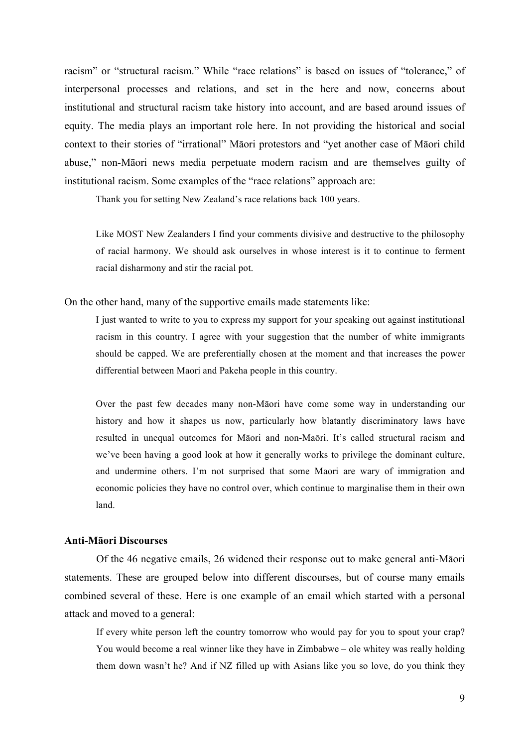racism" or "structural racism." While "race relations" is based on issues of "tolerance," of interpersonal processes and relations, and set in the here and now, concerns about institutional and structural racism take history into account, and are based around issues of equity. The media plays an important role here. In not providing the historical and social context to their stories of "irrational" Māori protestors and "yet another case of Māori child abuse," non-Māori news media perpetuate modern racism and are themselves guilty of institutional racism. Some examples of the "race relations" approach are:

Thank you for setting New Zealand's race relations back 100 years.

Like MOST New Zealanders I find your comments divisive and destructive to the philosophy of racial harmony. We should ask ourselves in whose interest is it to continue to ferment racial disharmony and stir the racial pot.

On the other hand, many of the supportive emails made statements like:

I just wanted to write to you to express my support for your speaking out against institutional racism in this country. I agree with your suggestion that the number of white immigrants should be capped. We are preferentially chosen at the moment and that increases the power differential between Maori and Pakeha people in this country.

Over the past few decades many non-Māori have come some way in understanding our history and how it shapes us now, particularly how blatantly discriminatory laws have resulted in unequal outcomes for Māori and non-Maōri. It's called structural racism and we've been having a good look at how it generally works to privilege the dominant culture, and undermine others. I'm not surprised that some Maori are wary of immigration and economic policies they have no control over, which continue to marginalise them in their own land.

#### **Anti-Māori Discourses**

Of the 46 negative emails, 26 widened their response out to make general anti-Māori statements. These are grouped below into different discourses, but of course many emails combined several of these. Here is one example of an email which started with a personal attack and moved to a general:

If every white person left the country tomorrow who would pay for you to spout your crap? You would become a real winner like they have in Zimbabwe – ole whitey was really holding them down wasn't he? And if NZ filled up with Asians like you so love, do you think they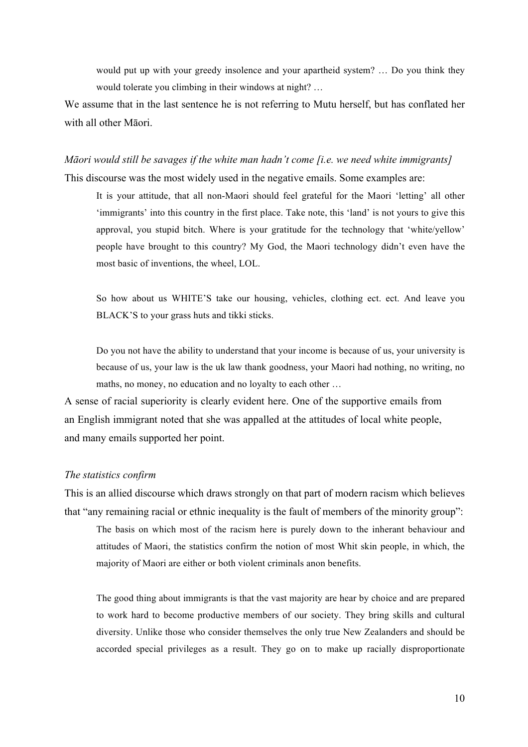would put up with your greedy insolence and your apartheid system? … Do you think they would tolerate you climbing in their windows at night? …

We assume that in the last sentence he is not referring to Mutu herself, but has conflated her with all other Māori.

*Māori would still be savages if the white man hadn't come [i.e. we need white immigrants]* This discourse was the most widely used in the negative emails. Some examples are:

It is your attitude, that all non-Maori should feel grateful for the Maori 'letting' all other 'immigrants' into this country in the first place. Take note, this 'land' is not yours to give this approval, you stupid bitch. Where is your gratitude for the technology that 'white/yellow' people have brought to this country? My God, the Maori technology didn't even have the most basic of inventions, the wheel, LOL.

So how about us WHITE'S take our housing, vehicles, clothing ect. ect. And leave you BLACK'S to your grass huts and tikki sticks.

Do you not have the ability to understand that your income is because of us, your university is because of us, your law is the uk law thank goodness, your Maori had nothing, no writing, no maths, no money, no education and no loyalty to each other …

A sense of racial superiority is clearly evident here. One of the supportive emails from an English immigrant noted that she was appalled at the attitudes of local white people, and many emails supported her point.

## *The statistics confirm*

This is an allied discourse which draws strongly on that part of modern racism which believes that "any remaining racial or ethnic inequality is the fault of members of the minority group": The basis on which most of the racism here is purely down to the inherant behaviour and

attitudes of Maori, the statistics confirm the notion of most Whit skin people, in which, the majority of Maori are either or both violent criminals anon benefits.

The good thing about immigrants is that the vast majority are hear by choice and are prepared to work hard to become productive members of our society. They bring skills and cultural diversity. Unlike those who consider themselves the only true New Zealanders and should be accorded special privileges as a result. They go on to make up racially disproportionate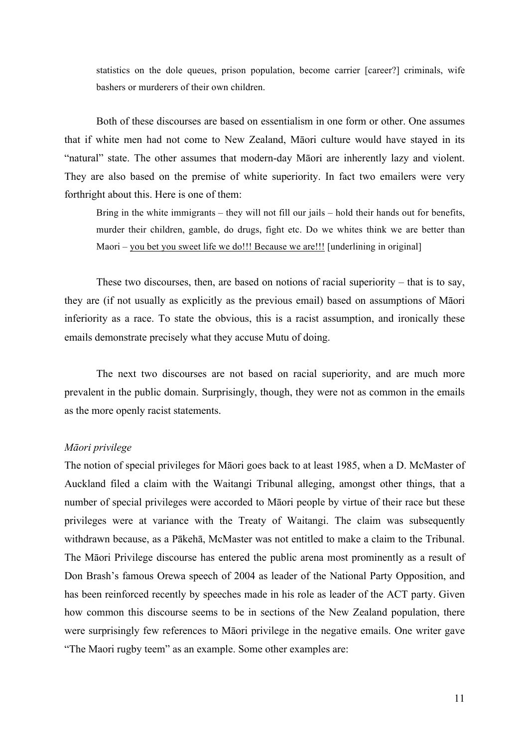statistics on the dole queues, prison population, become carrier [career?] criminals, wife bashers or murderers of their own children.

Both of these discourses are based on essentialism in one form or other. One assumes that if white men had not come to New Zealand, Māori culture would have stayed in its "natural" state. The other assumes that modern-day Māori are inherently lazy and violent. They are also based on the premise of white superiority. In fact two emailers were very forthright about this. Here is one of them:

Bring in the white immigrants – they will not fill our jails – hold their hands out for benefits, murder their children, gamble, do drugs, fight etc. Do we whites think we are better than Maori – you bet you sweet life we do!!! Because we are!!! [underlining in original]

These two discourses, then, are based on notions of racial superiority – that is to say, they are (if not usually as explicitly as the previous email) based on assumptions of Māori inferiority as a race. To state the obvious, this is a racist assumption, and ironically these emails demonstrate precisely what they accuse Mutu of doing.

The next two discourses are not based on racial superiority, and are much more prevalent in the public domain. Surprisingly, though, they were not as common in the emails as the more openly racist statements.

### *Māori privilege*

The notion of special privileges for Māori goes back to at least 1985, when a D. McMaster of Auckland filed a claim with the Waitangi Tribunal alleging, amongst other things, that a number of special privileges were accorded to Māori people by virtue of their race but these privileges were at variance with the Treaty of Waitangi. The claim was subsequently withdrawn because, as a Pākehā, McMaster was not entitled to make a claim to the Tribunal. The Māori Privilege discourse has entered the public arena most prominently as a result of Don Brash's famous Orewa speech of 2004 as leader of the National Party Opposition, and has been reinforced recently by speeches made in his role as leader of the ACT party. Given how common this discourse seems to be in sections of the New Zealand population, there were surprisingly few references to Māori privilege in the negative emails. One writer gave "The Maori rugby teem" as an example. Some other examples are: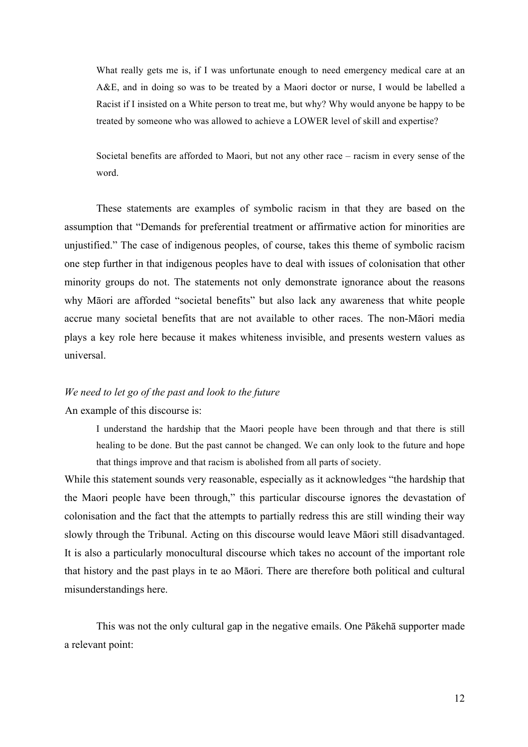What really gets me is, if I was unfortunate enough to need emergency medical care at an A&E, and in doing so was to be treated by a Maori doctor or nurse, I would be labelled a Racist if I insisted on a White person to treat me, but why? Why would anyone be happy to be treated by someone who was allowed to achieve a LOWER level of skill and expertise?

Societal benefits are afforded to Maori, but not any other race – racism in every sense of the word.

These statements are examples of symbolic racism in that they are based on the assumption that "Demands for preferential treatment or affirmative action for minorities are unjustified." The case of indigenous peoples, of course, takes this theme of symbolic racism one step further in that indigenous peoples have to deal with issues of colonisation that other minority groups do not. The statements not only demonstrate ignorance about the reasons why Māori are afforded "societal benefits" but also lack any awareness that white people accrue many societal benefits that are not available to other races. The non-Māori media plays a key role here because it makes whiteness invisible, and presents western values as universal.

## *We need to let go of the past and look to the future* An example of this discourse is:

I understand the hardship that the Maori people have been through and that there is still healing to be done. But the past cannot be changed. We can only look to the future and hope that things improve and that racism is abolished from all parts of society.

While this statement sounds very reasonable, especially as it acknowledges "the hardship that the Maori people have been through," this particular discourse ignores the devastation of colonisation and the fact that the attempts to partially redress this are still winding their way slowly through the Tribunal. Acting on this discourse would leave Māori still disadvantaged. It is also a particularly monocultural discourse which takes no account of the important role that history and the past plays in te ao Māori. There are therefore both political and cultural misunderstandings here.

This was not the only cultural gap in the negative emails. One Pākehā supporter made a relevant point: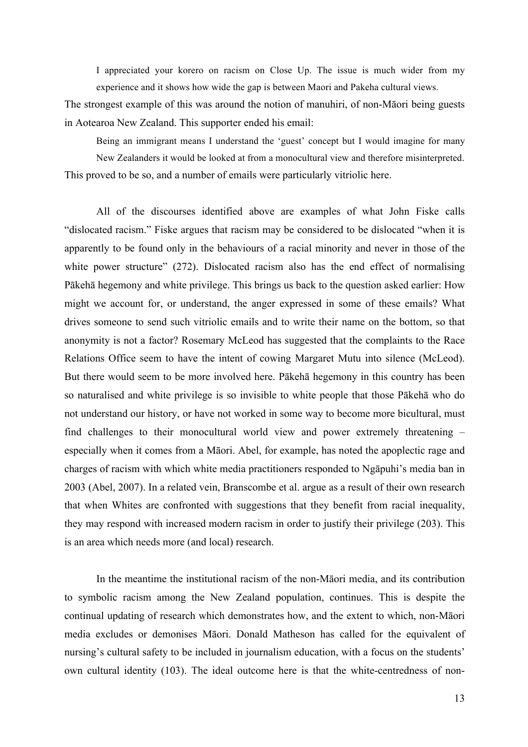I appreciated your korero on racism on Close Up. The issue is much wider from my experience and it shows how wide the gap is between Maori and Pakeha cultural views.

The strongest example of this was around the notion of manuhiri, of non-Māori being guests in Aotearoa New Zealand. This supporter ended his email:

Being an immigrant means I understand the 'guest' concept but I would imagine for many New Zealanders it would be looked at from a monocultural view and therefore misinterpreted. This proved to be so, and a number of emails were particularly vitriolic here.

All of the discourses identified above are examples of what John Fiske calls "dislocated racism." Fiske argues that racism may be considered to be dislocated "when it is apparently to be found only in the behaviours of a racial minority and never in those of the white power structure" (272). Dislocated racism also has the end effect of normalising Pākehā hegemony and white privilege. This brings us back to the question asked earlier: How might we account for, or understand, the anger expressed in some of these emails? What drives someone to send such vitriolic emails and to write their name on the bottom, so that anonymity is not a factor? Rosemary McLeod has suggested that the complaints to the Race Relations Office seem to have the intent of cowing Margaret Mutu into silence (McLeod). But there would seem to be more involved here. Pākehā hegemony in this country has been so naturalised and white privilege is so invisible to white people that those Pākehā who do not understand our history, or have not worked in some way to become more bicultural, must find challenges to their monocultural world view and power extremely threatening – especially when it comes from a Māori. Abel, for example, has noted the apoplectic rage and charges of racism with which white media practitioners responded to Ngāpuhi's media ban in 2003 (Abel, 2007). In a related vein, Branscombe et al. argue as a result of their own research that when Whites are confronted with suggestions that they benefit from racial inequality, they may respond with increased modern racism in order to justify their privilege (203). This is an area which needs more (and local) research.

In the meantime the institutional racism of the non-Māori media, and its contribution to symbolic racism among the New Zealand population, continues. This is despite the continual updating of research which demonstrates how, and the extent to which, non-Māori media excludes or demonises Māori. Donald Matheson has called for the equivalent of nursing's cultural safety to be included in journalism education, with a focus on the students' own cultural identity (103). The ideal outcome here is that the white-centredness of non-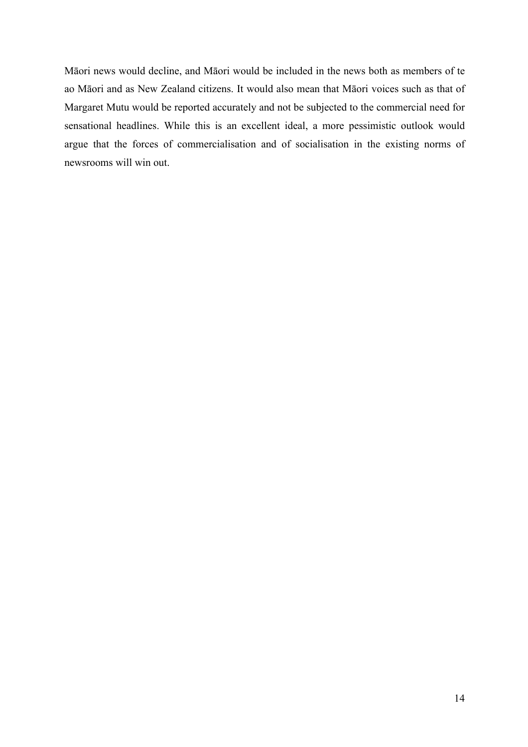Māori news would decline, and Māori would be included in the news both as members of te ao Māori and as New Zealand citizens. It would also mean that Māori voices such as that of Margaret Mutu would be reported accurately and not be subjected to the commercial need for sensational headlines. While this is an excellent ideal, a more pessimistic outlook would argue that the forces of commercialisation and of socialisation in the existing norms of newsrooms will win out.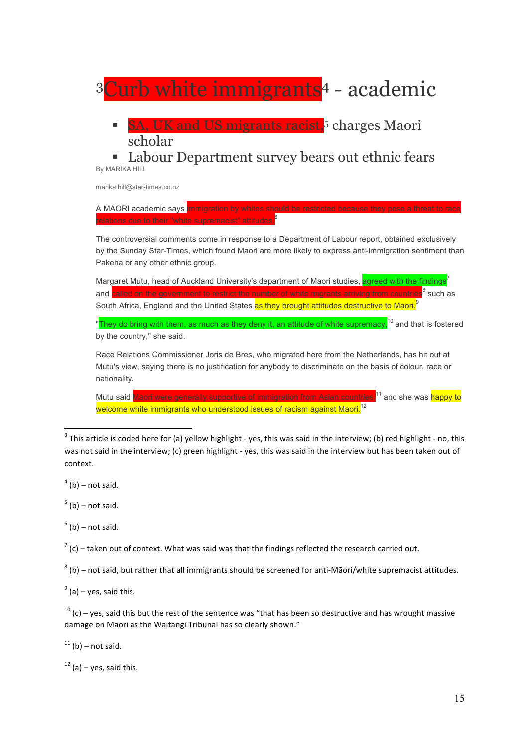

was not said in the interview; (c) green highlight - yes, this was said in the interview but has been taken out of context.

 $<sup>4</sup>$  (b) – not said.</sup>

 $5$  (b) – not said.

 $<sup>6</sup>$  (b) – not said.</sup>

 $7$  (c) – taken out of context. What was said was that the findings reflected the research carried out.

 $8$  (b) – not said, but rather that all immigrants should be screened for anti-Māori/white supremacist attitudes.

 $9<sup>9</sup>$  (a) – yes, said this.

 $10$  (c) – yes, said this but the rest of the sentence was "that has been so destructive and has wrought massive damage on Māori as the Waitangi Tribunal has so clearly shown."

 $11$  (b) – not said.

 $12$  (a) – yes, said this.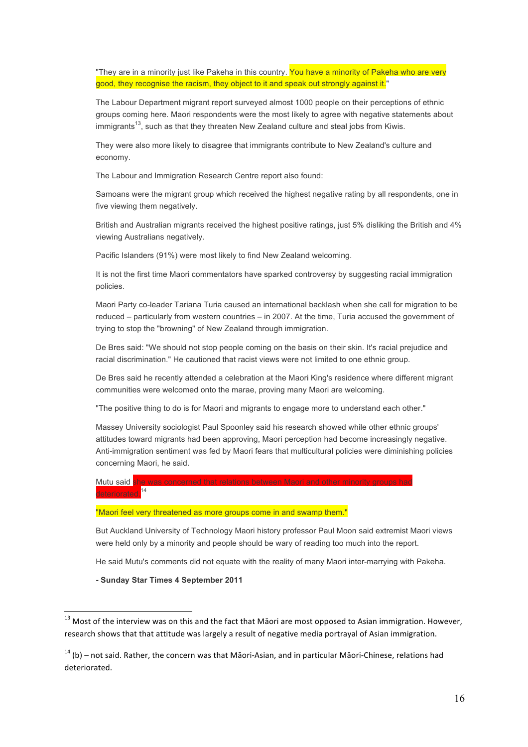"They are in a minority just like Pakeha in this country. You have a minority of Pakeha who are very good, they recognise the racism, they object to it and speak out strongly against it."

The Labour Department migrant report surveyed almost 1000 people on their perceptions of ethnic groups coming here. Maori respondents were the most likely to agree with negative statements about  $imm$  igrants<sup>13</sup>, such as that they threaten New Zealand culture and steal jobs from Kiwis.

They were also more likely to disagree that immigrants contribute to New Zealand's culture and economy.

The Labour and Immigration Research Centre report also found:

Samoans were the migrant group which received the highest negative rating by all respondents, one in five viewing them negatively.

British and Australian migrants received the highest positive ratings, just 5% disliking the British and 4% viewing Australians negatively.

Pacific Islanders (91%) were most likely to find New Zealand welcoming.

It is not the first time Maori commentators have sparked controversy by suggesting racial immigration policies.

Maori Party co-leader Tariana Turia caused an international backlash when she call for migration to be reduced – particularly from western countries – in 2007. At the time, Turia accused the government of trying to stop the "browning" of New Zealand through immigration.

De Bres said: "We should not stop people coming on the basis on their skin. It's racial prejudice and racial discrimination." He cautioned that racist views were not limited to one ethnic group.

De Bres said he recently attended a celebration at the Maori King's residence where different migrant communities were welcomed onto the marae, proving many Maori are welcoming.

"The positive thing to do is for Maori and migrants to engage more to understand each other."

Massey University sociologist Paul Spoonley said his research showed while other ethnic groups' attitudes toward migrants had been approving, Maori perception had become increasingly negative. Anti-immigration sentiment was fed by Maori fears that multicultural policies were diminishing policies concerning Maori, he said.

Mutu said she was concerned that relations between Maori and other minority groups had eteriorated.<sup>14</sup>

"Maori feel very threatened as more groups come in and swamp them."

But Auckland University of Technology Maori history professor Paul Moon said extremist Maori views were held only by a minority and people should be wary of reading too much into the report.

He said Mutu's comments did not equate with the reality of many Maori inter-marrying with Pakeha.

**- Sunday Star Times 4 September 2011**

<u> 1989 - Jan Samuel Barbara, político establecido de la provincia de la provincia de la provincia de la provinci</u>

 $13$  Most of the interview was on this and the fact that Māori are most opposed to Asian immigration. However, research shows that that attitude was largely a result of negative media portrayal of Asian immigration.

 $14$  (b) – not said. Rather, the concern was that Māori-Asian, and in particular Māori-Chinese, relations had deteriorated.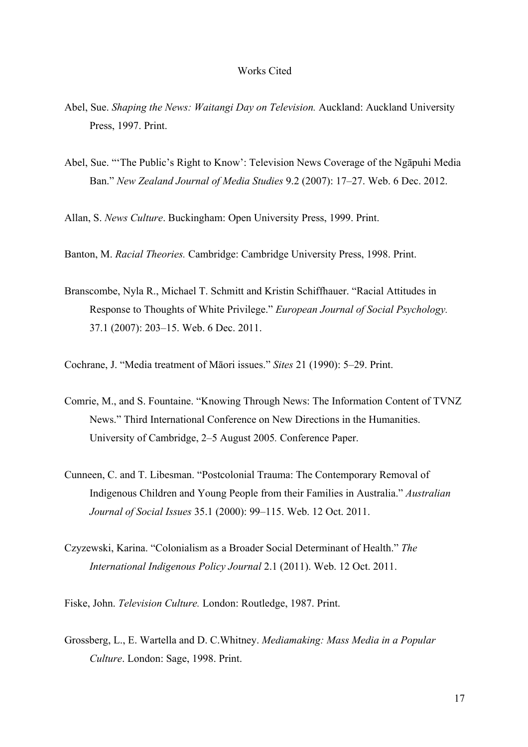### Works Cited

- Abel, Sue. *Shaping the News: Waitangi Day on Television.* Auckland: Auckland University Press, 1997. Print.
- Abel, Sue. "'The Public's Right to Know': Television News Coverage of the Ngāpuhi Media Ban." *New Zealand Journal of Media Studies* 9.2 (2007): 17–27. Web. 6 Dec. 2012.

Allan, S. *News Culture*. Buckingham: Open University Press, 1999. Print.

Banton, M. *Racial Theories.* Cambridge: Cambridge University Press, 1998. Print.

Branscombe, Nyla R., Michael T. Schmitt and Kristin Schiffhauer. "Racial Attitudes in Response to Thoughts of White Privilege." *European Journal of Social Psychology.* 37.1 (2007): 203–15. Web. 6 Dec. 2011.

Cochrane, J. "Media treatment of Māori issues." *Sites* 21 (1990): 5–29. Print.

- Comrie, M., and S. Fountaine. "Knowing Through News: The Information Content of TVNZ News." Third International Conference on New Directions in the Humanities. University of Cambridge, 2–5 August 2005*.* Conference Paper.
- Cunneen, C. and T. Libesman. "Postcolonial Trauma: The Contemporary Removal of Indigenous Children and Young People from their Families in Australia." *Australian Journal of Social Issues* 35.1 (2000): 99–115. Web. 12 Oct. 2011.
- Czyzewski, Karina. "Colonialism as a Broader Social Determinant of Health." *The International Indigenous Policy Journal* 2.1 (2011). Web. 12 Oct. 2011.

Fiske, John. *Television Culture.* London: Routledge, 1987. Print.

Grossberg, L., E. Wartella and D. C.Whitney. *Mediamaking: Mass Media in a Popular Culture*. London: Sage, 1998. Print.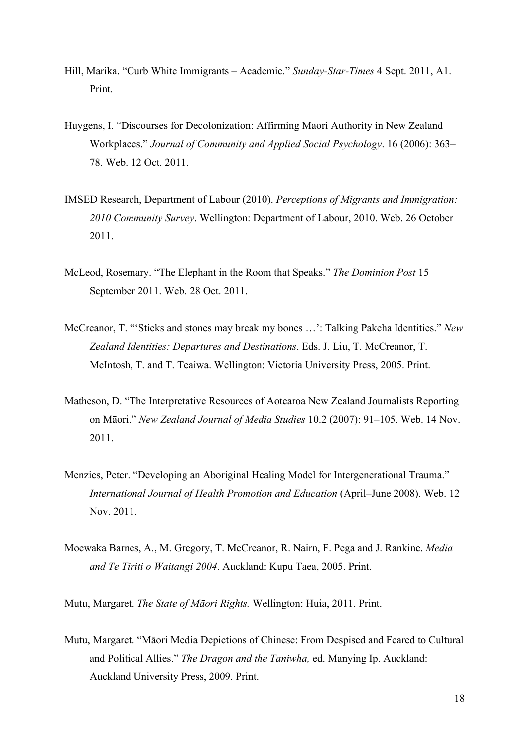- Hill, Marika. "Curb White Immigrants Academic." *Sunday-Star-Times* 4 Sept. 2011, A1. Print.
- Huygens, I. "Discourses for Decolonization: Affirming Maori Authority in New Zealand Workplaces." *Journal of Community and Applied Social Psychology*. 16 (2006): 363– 78. Web. 12 Oct. 2011.
- IMSED Research, Department of Labour (2010). *Perceptions of Migrants and Immigration: 2010 Community Survey*. Wellington: Department of Labour, 2010. Web. 26 October 2011.
- McLeod, Rosemary. "The Elephant in the Room that Speaks." *The Dominion Post* 15 September 2011. Web. 28 Oct. 2011.
- McCreanor, T. "'Sticks and stones may break my bones …': Talking Pakeha Identities." *New Zealand Identities: Departures and Destinations*. Eds. J. Liu, T. McCreanor, T. McIntosh, T. and T. Teaiwa. Wellington: Victoria University Press, 2005. Print.
- Matheson, D. "The Interpretative Resources of Aotearoa New Zealand Journalists Reporting on Māori." *New Zealand Journal of Media Studies* 10.2 (2007): 91–105. Web. 14 Nov. 2011.
- Menzies, Peter. "Developing an Aboriginal Healing Model for Intergenerational Trauma." *International Journal of Health Promotion and Education* (April–June 2008). Web. 12 Nov. 2011.
- Moewaka Barnes, A., M. Gregory, T. McCreanor, R. Nairn, F. Pega and J. Rankine. *Media and Te Tiriti o Waitangi 2004*. Auckland: Kupu Taea, 2005. Print.
- Mutu, Margaret. *The State of Māori Rights.* Wellington: Huia, 2011. Print.
- Mutu, Margaret. "Māori Media Depictions of Chinese: From Despised and Feared to Cultural and Political Allies." *The Dragon and the Taniwha,* ed. Manying Ip. Auckland: Auckland University Press, 2009. Print.